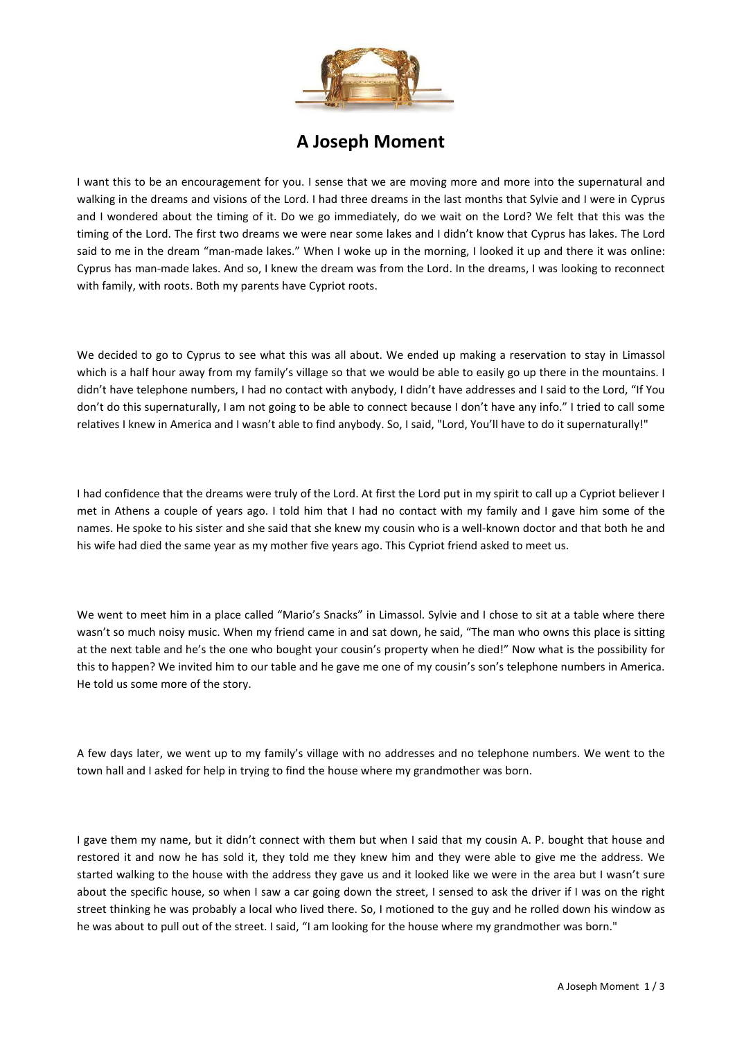

## **A Joseph Moment**

I want this to be an encouragement for you. I sense that we are moving more and more into the supernatural and walking in the dreams and visions of the Lord. I had three dreams in the last months that Sylvie and I were in Cyprus and I wondered about the timing of it. Do we go immediately, do we wait on the Lord? We felt that this was the timing of the Lord. The first two dreams we were near some lakes and I didn't know that Cyprus has lakes. The Lord said to me in the dream "man-made lakes." When I woke up in the morning, I looked it up and there it was online: Cyprus has man-made lakes. And so, I knew the dream was from the Lord. In the dreams, I was looking to reconnect with family, with roots. Both my parents have Cypriot roots.

We decided to go to Cyprus to see what this was all about. We ended up making a reservation to stay in Limassol which is a half hour away from my family's village so that we would be able to easily go up there in the mountains. I didn't have telephone numbers, I had no contact with anybody, I didn't have addresses and I said to the Lord, "If You don't do this supernaturally, I am not going to be able to connect because I don't have any info." I tried to call some relatives I knew in America and I wasn't able to find anybody. So, I said, "Lord, You'll have to do it supernaturally!"

I had confidence that the dreams were truly of the Lord. At first the Lord put in my spirit to call up a Cypriot believer I met in Athens a couple of years ago. I told him that I had no contact with my family and I gave him some of the names. He spoke to his sister and she said that she knew my cousin who is a well-known doctor and that both he and his wife had died the same year as my mother five years ago. This Cypriot friend asked to meet us.

We went to meet him in a place called "Mario's Snacks" in Limassol. Sylvie and I chose to sit at a table where there wasn't so much noisy music. When my friend came in and sat down, he said, "The man who owns this place is sitting at the next table and he's the one who bought your cousin's property when he died!" Now what is the possibility for this to happen? We invited him to our table and he gave me one of my cousin's son's telephone numbers in America. He told us some more of the story.

A few days later, we went up to my family's village with no addresses and no telephone numbers. We went to the town hall and I asked for help in trying to find the house where my grandmother was born.

I gave them my name, but it didn't connect with them but when I said that my cousin A. P. bought that house and restored it and now he has sold it, they told me they knew him and they were able to give me the address. We started walking to the house with the address they gave us and it looked like we were in the area but I wasn't sure about the specific house, so when I saw a car going down the street, I sensed to ask the driver if I was on the right street thinking he was probably a local who lived there. So, I motioned to the guy and he rolled down his window as he was about to pull out of the street. I said, "I am looking for the house where my grandmother was born."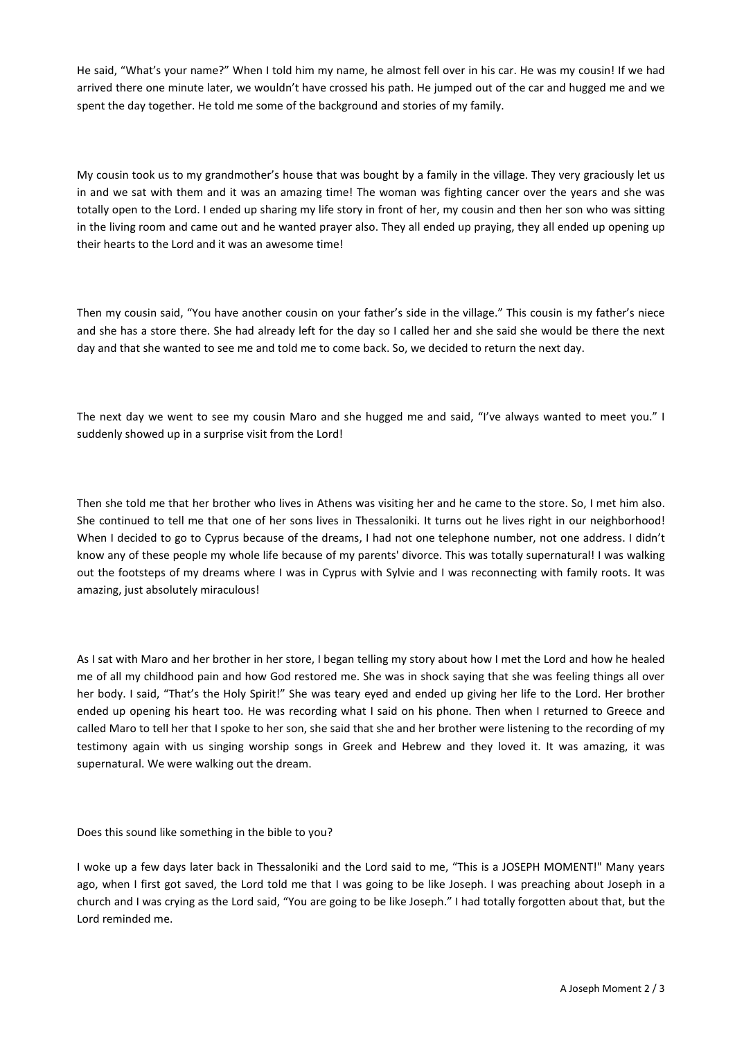He said, "What's your name?" When I told him my name, he almost fell over in his car. He was my cousin! If we had arrived there one minute later, we wouldn't have crossed his path. He jumped out of the car and hugged me and we spent the day together. He told me some of the background and stories of my family.

My cousin took us to my grandmother's house that was bought by a family in the village. They very graciously let us in and we sat with them and it was an amazing time! The woman was fighting cancer over the years and she was totally open to the Lord. I ended up sharing my life story in front of her, my cousin and then her son who was sitting in the living room and came out and he wanted prayer also. They all ended up praying, they all ended up opening up their hearts to the Lord and it was an awesome time!

Then my cousin said, "You have another cousin on your father's side in the village." This cousin is my father's niece and she has a store there. She had already left for the day so I called her and she said she would be there the next day and that she wanted to see me and told me to come back. So, we decided to return the next day.

The next day we went to see my cousin Maro and she hugged me and said, "I've always wanted to meet you." I suddenly showed up in a surprise visit from the Lord!

Then she told me that her brother who lives in Athens was visiting her and he came to the store. So, I met him also. She continued to tell me that one of her sons lives in Thessaloniki. It turns out he lives right in our neighborhood! When I decided to go to Cyprus because of the dreams, I had not one telephone number, not one address. I didn't know any of these people my whole life because of my parents' divorce. This was totally supernatural! I was walking out the footsteps of my dreams where I was in Cyprus with Sylvie and I was reconnecting with family roots. It was amazing, just absolutely miraculous!

As I sat with Maro and her brother in her store, I began telling my story about how I met the Lord and how he healed me of all my childhood pain and how God restored me. She was in shock saying that she was feeling things all over her body. I said, "That's the Holy Spirit!" She was teary eyed and ended up giving her life to the Lord. Her brother ended up opening his heart too. He was recording what I said on his phone. Then when I returned to Greece and called Maro to tell her that I spoke to her son, she said that she and her brother were listening to the recording of my testimony again with us singing worship songs in Greek and Hebrew and they loved it. It was amazing, it was supernatural. We were walking out the dream.

Does this sound like something in the bible to you?

I woke up a few days later back in Thessaloniki and the Lord said to me, "This is a JOSEPH MOMENT!" Many years ago, when I first got saved, the Lord told me that I was going to be like Joseph. I was preaching about Joseph in a church and I was crying as the Lord said, "You are going to be like Joseph." I had totally forgotten about that, but the Lord reminded me.